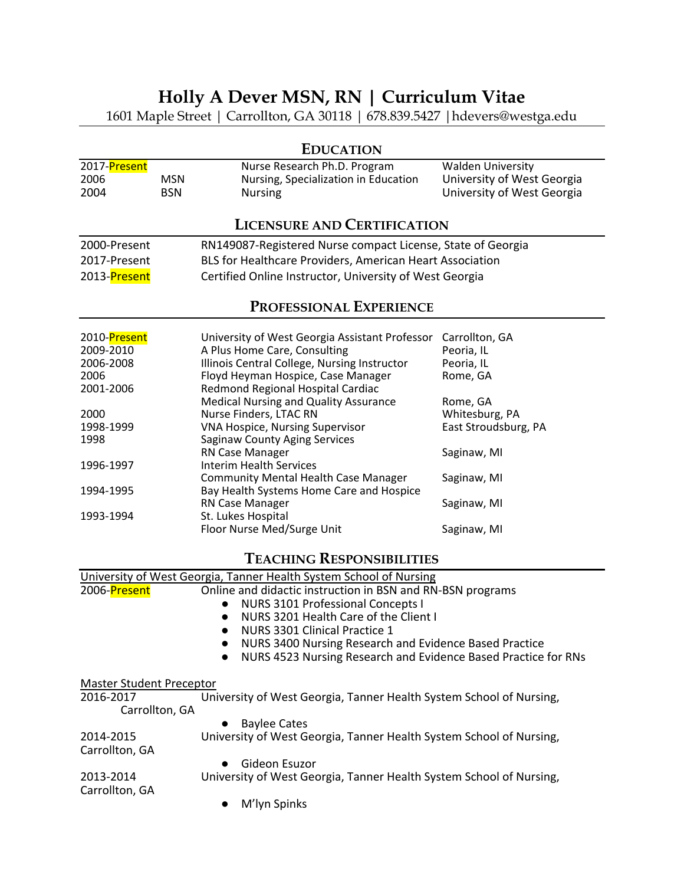# **Holly A Dever MSN, RN | Curriculum Vitae**

1601 Maple Street | Carrollton, GA 30118 | 678.839.5427 |hdevers@westga.edu

| <b>EDUCATION</b>                                                   |                          |                                                                                        |                                                                                      |  |  |
|--------------------------------------------------------------------|--------------------------|----------------------------------------------------------------------------------------|--------------------------------------------------------------------------------------|--|--|
| 2017-Present<br>2006<br>2004                                       | <b>MSN</b><br><b>BSN</b> | Nurse Research Ph.D. Program<br>Nursing, Specialization in Education<br><b>Nursing</b> | <b>Walden University</b><br>University of West Georgia<br>University of West Georgia |  |  |
| <b>LICENSURE AND CERTIFICATION</b>                                 |                          |                                                                                        |                                                                                      |  |  |
| 2000-Present                                                       |                          | RN149087-Registered Nurse compact License, State of Georgia                            |                                                                                      |  |  |
| 2017-Present                                                       |                          | BLS for Healthcare Providers, American Heart Association                               |                                                                                      |  |  |
| 2013-Present                                                       |                          | Certified Online Instructor, University of West Georgia                                |                                                                                      |  |  |
| PROFESSIONAL EXPERIENCE                                            |                          |                                                                                        |                                                                                      |  |  |
| 2010-Present                                                       |                          | University of West Georgia Assistant Professor                                         | Carrollton, GA                                                                       |  |  |
| 2009-2010                                                          |                          | A Plus Home Care, Consulting                                                           | Peoria, IL                                                                           |  |  |
| 2006-2008                                                          |                          | Illinois Central College, Nursing Instructor                                           | Peoria, IL                                                                           |  |  |
| 2006                                                               |                          | Floyd Heyman Hospice, Case Manager                                                     | Rome, GA                                                                             |  |  |
| 2001-2006                                                          |                          | Redmond Regional Hospital Cardiac                                                      |                                                                                      |  |  |
|                                                                    |                          | Medical Nursing and Quality Assurance                                                  | Rome, GA                                                                             |  |  |
| 2000                                                               |                          | Nurse Finders, LTAC RN                                                                 | Whitesburg, PA                                                                       |  |  |
| 1998-1999                                                          |                          | <b>VNA Hospice, Nursing Supervisor</b>                                                 | East Stroudsburg, PA                                                                 |  |  |
| 1998                                                               |                          | <b>Saginaw County Aging Services</b><br>RN Case Manager                                |                                                                                      |  |  |
| 1996-1997                                                          |                          | <b>Interim Health Services</b>                                                         | Saginaw, MI                                                                          |  |  |
|                                                                    |                          | Community Mental Health Case Manager                                                   | Saginaw, MI                                                                          |  |  |
| 1994-1995                                                          |                          | Bay Health Systems Home Care and Hospice                                               |                                                                                      |  |  |
|                                                                    |                          | RN Case Manager                                                                        | Saginaw, MI                                                                          |  |  |
| 1993-1994                                                          |                          | St. Lukes Hospital                                                                     |                                                                                      |  |  |
|                                                                    |                          | Floor Nurse Med/Surge Unit                                                             | Saginaw, MI                                                                          |  |  |
| <b>TEACHING RESPONSIBILITIES</b>                                   |                          |                                                                                        |                                                                                      |  |  |
| University of West Coorgia, Tanner Health System School of Nursing |                          |                                                                                        |                                                                                      |  |  |

|                                 | <u>UNIVERSIty OF WEST OEDIGIA, TANIHER HEARTH SYSTEMI SCHOOL OF NURSING</u> |  |
|---------------------------------|-----------------------------------------------------------------------------|--|
| 2006-Present                    | Online and didactic instruction in BSN and RN-BSN programs                  |  |
|                                 | <b>NURS 3101 Professional Concepts I</b><br>$\bullet$                       |  |
|                                 | NURS 3201 Health Care of the Client I<br>$\bullet$                          |  |
|                                 | NURS 3301 Clinical Practice 1<br>$\bullet$                                  |  |
|                                 | NURS 3400 Nursing Research and Evidence Based Practice<br>$\bullet$         |  |
|                                 | NURS 4523 Nursing Research and Evidence Based Practice for RNs<br>$\bullet$ |  |
| <b>Master Student Preceptor</b> |                                                                             |  |
| 2016-2017                       | University of West Georgia, Tanner Health System School of Nursing,         |  |
| Carrollton, GA                  |                                                                             |  |
|                                 | <b>Baylee Cates</b>                                                         |  |
| 2014-2015                       | University of West Georgia, Tanner Health System School of Nursing,         |  |
| Carrollton, GA                  |                                                                             |  |
|                                 | Gideon Esuzor<br>$\bullet$                                                  |  |
| 2013-2014                       | University of West Georgia, Tanner Health System School of Nursing,         |  |
| Carrollton, GA                  |                                                                             |  |
|                                 | M'lyn Spinks<br>$\bullet$                                                   |  |
|                                 |                                                                             |  |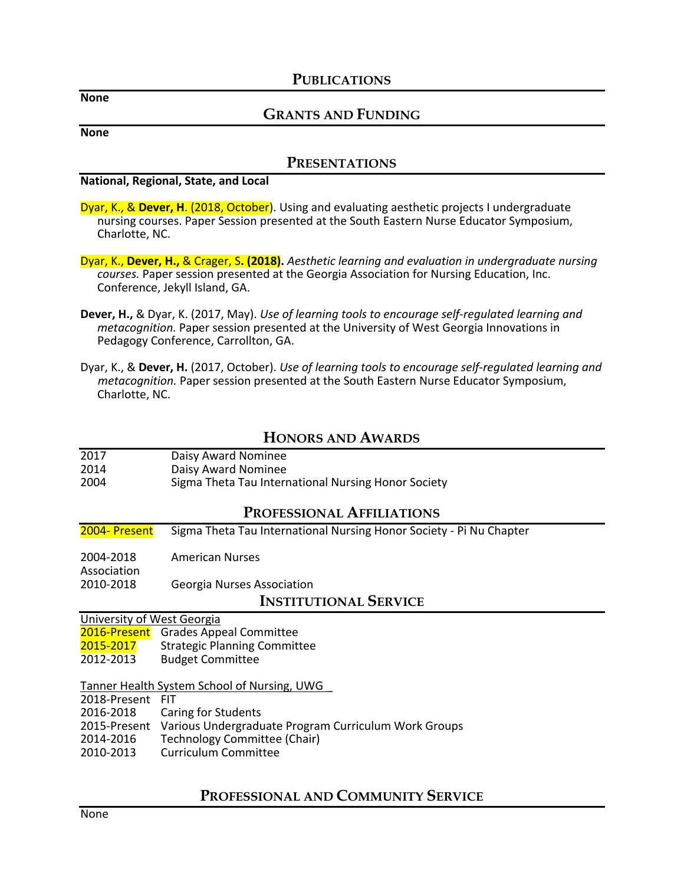#### **PUBLICATIONS**

**None**

### **GRANTS AND FUNDING**

**None**

#### **PRESENTATIONS**

**National, Regional, State, and Local**

Dyar, K., & **Dever, H**. (2018, October). Using and evaluating aesthetic projects I undergraduate nursing courses. Paper Session presented at the South Eastern Nurse Educator Symposium, Charlotte, NC.

Dyar, K., **Dever, H.,** & Crager, S**. (2018).** *Aesthetic learning and evaluation in undergraduate nursing courses.* Paper session presented at the Georgia Association for Nursing Education, Inc. Conference, Jekyll Island, GA.

- **Dever, H.,** & Dyar, K. (2017, May). *Use of learning tools to encourage self-regulated learning and metacognition.* Paper session presented at the University of West Georgia Innovations in Pedagogy Conference, Carrollton, GA.
- Dyar, K., & **Dever, H.** (2017, October). *Use of learning tools to encourage self-regulated learning and metacognition.* Paper session presented at the South Eastern Nurse Educator Symposium, Charlotte, NC.

# **HONORS AND AWARDS**

| 2017 | Daisy Award Nominee                                 |
|------|-----------------------------------------------------|
| 2014 | Daisy Award Nominee                                 |
| 2004 | Sigma Theta Tau International Nursing Honor Society |

#### **PROFESSIONAL AFFILIATIONS**

2004- Present Sigma Theta Tau International Nursing Honor Society - Pi Nu Chapter

2004-2018 American Nurses

Association 2010-2018 Georgia Nurses Association

**INSTITUTIONAL SERVICE**

University of West Georgia

2016-Present Grades Appeal Committee

2015-2017 Strategic Planning Committee<br>2012-2013 Budget Committee

**Budget Committee** 

Tanner Health System School of Nursing, UWG \_

2018-Present FIT

Caring for Students

2015-Present Various Undergraduate Program Curriculum Work Groups

2014-2016 Technology Committee (Chair)

2010-2013 Curriculum Committee

# **PROFESSIONAL AND COMMUNITY SERVICE**